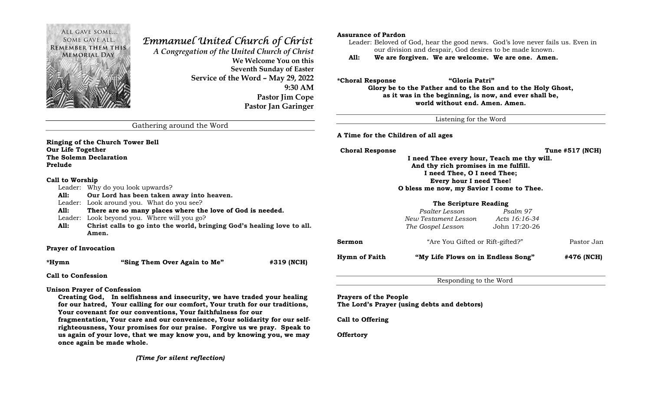

# Emmanuel United Church of Christ

A Congregation of the United Church of Christ We Welcome You on this Seventh Sunday of Easter Service of the Word – May 29, 2022 9:30 AM Pastor Jim Cope Pastor Jan Garinger

Gathering around the Word

#### Ringing of the Church Tower Bell Our Life Together The Solemn Declaration Prelude

## Call to Worship

Leader: Why do you look upwards?

All: Our Lord has been taken away into heaven. Leader: Look around you. What do you see?

All: There are so many places where the love of God is needed.

- Leader: Look beyond you. Where will you go?
- All: Christ calls to go into the world, bringing God's healing love to all. Amen.

# Prayer of Invocation

\*Hymn "Sing Them Over Again to Me" #319 (NCH)

Call to Confession

# Unison Prayer of Confession

 Creating God, In selfishness and insecurity, we have traded your healing for our hatred, Your calling for our comfort, Your truth for our traditions, Your covenant for our conventions, Your faithfulness for our

fragmentation, Your care and our convenience, Your solidarity for our selfrighteousness, Your promises for our praise. Forgive us we pray. Speak to us again of your love, that we may know you, and by knowing you, we may once again be made whole.

# Assurance of Pardon

Leader: Beloved of God, hear the good news. God's love never fails us. Even in our division and despair, God desires to be made known.

All: We are forgiven. We are welcome. We are one. Amen.

\*Choral Response "Gloria Patri" Glory be to the Father and to the Son and to the Holy Ghost, as it was in the beginning, is now, and ever shall be, world without end. Amen. Amen.

Listening for the Word

A Time for the Children of all ages

Choral Response Tune #517 (NCH)

 I need Thee every hour, Teach me thy will. And thy rich promises in me fulfill. I need Thee, O I need Thee; Every hour I need Thee! O bless me now, my Savior I come to Thee.

# The Scripture Reading

| Psalter Lesson<br>Psalm 97<br>New Testament Lesson<br>Acts 16:16-34<br>John 17:20-26<br>The Gospel Lesson<br>Sermon<br>"Are You Gifted or Rift-gifted?" | Hymn of Faith |  | "My Life Flows on in Endless Song" |            |
|---------------------------------------------------------------------------------------------------------------------------------------------------------|---------------|--|------------------------------------|------------|
|                                                                                                                                                         |               |  |                                    | Pastor Jan |
|                                                                                                                                                         |               |  |                                    |            |
|                                                                                                                                                         |               |  |                                    |            |
|                                                                                                                                                         |               |  |                                    |            |

Responding to the Word

Prayers of the People The Lord's Prayer (using debts and debtors)

Call to Offering

**Offertory**